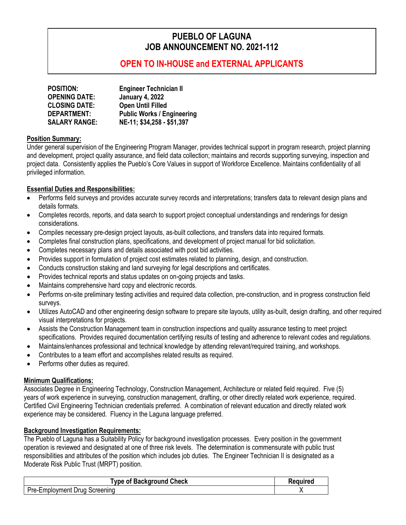# **PUEBLO OF LAGUNA JOB ANNOUNCEMENT NO. 2021-112**

## **OPEN TO IN-HOUSE and EXTERNAL APPLICANTS**

| <b>POSITION:</b>     | <b>Engineer Technician II</b>     |
|----------------------|-----------------------------------|
| <b>OPENING DATE:</b> | <b>January 4, 2022</b>            |
| <b>CLOSING DATE:</b> | <b>Open Until Filled</b>          |
| <b>DEPARTMENT:</b>   | <b>Public Works / Engineering</b> |
| <b>SALARY RANGE:</b> | NE-11; \$34,258 - \$51,397        |

#### **Position Summary:**

Under general supervision of the Engineering Program Manager, provides technical support in program research, project planning and development, project quality assurance, and field data collection; maintains and records supporting surveying, inspection and project data. Consistently applies the Pueblo's Core Values in support of Workforce Excellence. Maintains confidentiality of all privileged information.

#### **Essential Duties and Responsibilities:**

- Performs field surveys and provides accurate survey records and interpretations; transfers data to relevant design plans and details formats.
- Completes records, reports, and data search to support project conceptual understandings and renderings for design considerations.
- Compiles necessary pre-design project layouts, as-built collections, and transfers data into required formats.
- Completes final construction plans, specifications, and development of project manual for bid solicitation.
- Completes necessary plans and details associated with post bid activities.
- Provides support in formulation of project cost estimates related to planning, design, and construction.
- Conducts construction staking and land surveying for legal descriptions and certificates.
- Provides technical reports and status updates on on-going projects and tasks.
- Maintains comprehensive hard copy and electronic records.
- Performs on-site preliminary testing activities and required data collection, pre-construction, and in progress construction field surveys.
- Utilizes AutoCAD and other engineering design software to prepare site layouts, utility as-built, design drafting, and other required visual interpretations for projects.
- Assists the Construction Management team in construction inspections and quality assurance testing to meet project specifications. Provides required documentation certifying results of testing and adherence to relevant codes and regulations.
- Maintains/enhances professional and technical knowledge by attending relevant/required training, and workshops.
- Contributes to a team effort and accomplishes related results as required.
- Performs other duties as required.

#### **Minimum Qualifications:**

Associates Degree in Engineering Technology, Construction Management, Architecture or related field required. Five (5) years of work experience in surveying, construction management, drafting, or other directly related work experience, required. Certified Civil Engineering Technician credentials preferred. A combination of relevant education and directly related work experience may be considered. Fluency in the Laguna language preferred.

#### **Background Investigation Requirements:**

The Pueblo of Laguna has a Suitability Policy for background investigation processes. Every position in the government operation is reviewed and designated at one of three risk levels. The determination is commensurate with public trust responsibilities and attributes of the position which includes job duties. The Engineer Technician II is designated as a Moderate Risk Public Trust (MRPT) position.

| <b>Type of Background Check</b> | Required |
|---------------------------------|----------|
| Pre-Employment Drug Screening   |          |